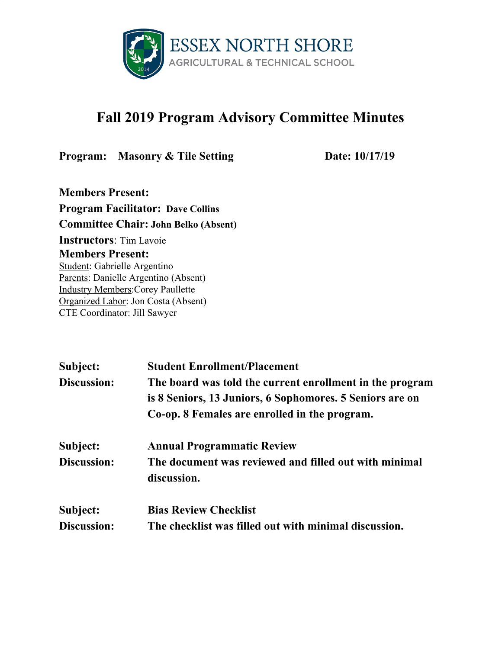

## **Fall 2019 Program Advisory Committee Minutes**

**Program: Masonry & Tile Setting Date:** 10/17/19

**Members Present: Program Facilitator: Dave Collins Committee Chair: John Belko (Absent) Instructors**: Tim Lavoie **Members Present:** Student: Gabrielle Argentino Parents: Danielle Argentino (Absent) Industry Members:Corey Paullette Organized Labor: Jon Costa (Absent) CTE Coordinator: Jill Sawyer

| Subject:    | <b>Student Enrollment/Placement</b>                      |
|-------------|----------------------------------------------------------|
| Discussion: | The board was told the current enrollment in the program |
|             | is 8 Seniors, 13 Juniors, 6 Sophomores. 5 Seniors are on |
|             | Co-op. 8 Females are enrolled in the program.            |
| Subject:    | <b>Annual Programmatic Review</b>                        |
| Discussion: | The document was reviewed and filled out with minimal    |
|             | discussion.                                              |
| Subject:    | <b>Bias Review Checklist</b>                             |
| Discussion: | The checklist was filled out with minimal discussion.    |